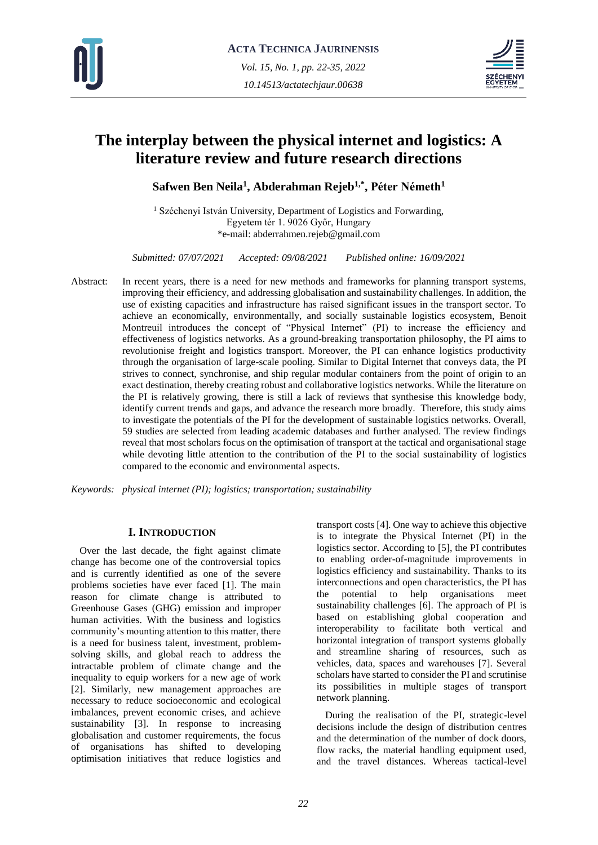



# **The interplay between the physical internet and logistics: A literature review and future research directions**

**Safwen Ben Neila<sup>1</sup> , Abderahman Rejeb1,\* , Péter Németh<sup>1</sup>**

<sup>1</sup> Széchenyi István University, Department of Logistics and Forwarding, Egyetem tér 1. 9026 Győr, Hungary \*e-mail: abderrahmen.rejeb@gmail.com

*Submitted: 07/07/2021 Accepted: 09/08/2021 Published online: 16/09/2021*

Abstract: In recent years, there is a need for new methods and frameworks for planning transport systems, improving their efficiency, and addressing globalisation and sustainability challenges. In addition, the use of existing capacities and infrastructure has raised significant issues in the transport sector. To achieve an economically, environmentally, and socially sustainable logistics ecosystem, Benoit Montreuil introduces the concept of "Physical Internet" (PI) to increase the efficiency and effectiveness of logistics networks. As a ground-breaking transportation philosophy, the PI aims to revolutionise freight and logistics transport. Moreover, the PI can enhance logistics productivity through the organisation of large-scale pooling. Similar to Digital Internet that conveys data, the PI strives to connect, synchronise, and ship regular modular containers from the point of origin to an exact destination, thereby creating robust and collaborative logistics networks. While the literature on the PI is relatively growing, there is still a lack of reviews that synthesise this knowledge body, identify current trends and gaps, and advance the research more broadly. Therefore, this study aims to investigate the potentials of the PI for the development of sustainable logistics networks. Overall, 59 studies are selected from leading academic databases and further analysed. The review findings reveal that most scholars focus on the optimisation of transport at the tactical and organisational stage while devoting little attention to the contribution of the PI to the social sustainability of logistics compared to the economic and environmental aspects.

*Keywords: physical internet (PI); logistics; transportation; sustainability*

# **I. INTRODUCTION**

Over the last decade, the fight against climate change has become one of the controversial topics and is currently identified as one of the severe problems societies have ever faced [1]. The main reason for climate change is attributed to Greenhouse Gases (GHG) emission and improper human activities. With the business and logistics community's mounting attention to this matter, there is a need for business talent, investment, problemsolving skills, and global reach to address the intractable problem of climate change and the inequality to equip workers for a new age of work [2]. Similarly, new management approaches are necessary to reduce socioeconomic and ecological imbalances, prevent economic crises, and achieve sustainability [3]. In response to increasing globalisation and customer requirements, the focus of organisations has shifted to developing optimisation initiatives that reduce logistics and

transport costs [4]. One way to achieve this objective is to integrate the Physical Internet (PI) in the logistics sector. According to [5], the PI contributes to enabling order-of-magnitude improvements in logistics efficiency and sustainability. Thanks to its interconnections and open characteristics, the PI has the potential to help organisations meet sustainability challenges [6]. The approach of PI is based on establishing global cooperation and interoperability to facilitate both vertical and horizontal integration of transport systems globally and streamline sharing of resources, such as vehicles, data, spaces and warehouses [7]. Several scholars have started to consider the PI and scrutinise its possibilities in multiple stages of transport network planning.

During the realisation of the PI, strategic-level decisions include the design of distribution centres and the determination of the number of dock doors, flow racks, the material handling equipment used, and the travel distances. Whereas tactical-level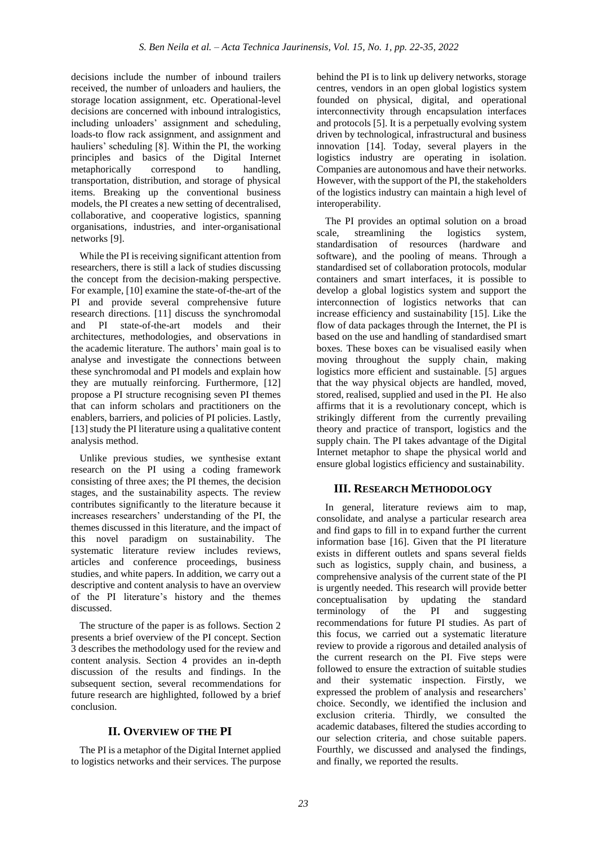decisions include the number of inbound trailers received, the number of unloaders and hauliers, the storage location assignment, etc. Operational-level decisions are concerned with inbound intralogistics, including unloaders' assignment and scheduling, loads-to flow rack assignment, and assignment and hauliers' scheduling [8]. Within the PI, the working principles and basics of the Digital Internet metaphorically correspond to handling, transportation, distribution, and storage of physical items. Breaking up the conventional business models, the PI creates a new setting of decentralised, collaborative, and cooperative logistics, spanning organisations, industries, and inter-organisational networks [9].

While the PI is receiving significant attention from researchers, there is still a lack of studies discussing the concept from the decision-making perspective. For example, [10] examine the state-of-the-art of the PI and provide several comprehensive future research directions. [11] discuss the synchromodal and PI state-of-the-art models and their architectures, methodologies, and observations in the academic literature. The authors' main goal is to analyse and investigate the connections between these synchromodal and PI models and explain how they are mutually reinforcing. Furthermore, [12] propose a PI structure recognising seven PI themes that can inform scholars and practitioners on the enablers, barriers, and policies of PI policies. Lastly, [13] study the PI literature using a qualitative content analysis method.

Unlike previous studies, we synthesise extant research on the PI using a coding framework consisting of three axes; the PI themes, the decision stages, and the sustainability aspects. The review contributes significantly to the literature because it increases researchers' understanding of the PI, the themes discussed in this literature, and the impact of this novel paradigm on sustainability. The systematic literature review includes reviews, articles and conference proceedings, business studies, and white papers. In addition, we carry out a descriptive and content analysis to have an overview of the PI literature's history and the themes discussed.

The structure of the paper is as follows. Section 2 presents a brief overview of the PI concept. Section 3 describes the methodology used for the review and content analysis. Section 4 provides an in-depth discussion of the results and findings. In the subsequent section, several recommendations for future research are highlighted, followed by a brief conclusion.

# **II. OVERVIEW OF THE PI**

The PI is a metaphor of the Digital Internet applied to logistics networks and their services. The purpose

behind the PI is to link up delivery networks, storage centres, vendors in an open global logistics system founded on physical, digital, and operational interconnectivity through encapsulation interfaces and protocols [5]. It is a perpetually evolving system driven by technological, infrastructural and business innovation [14]. Today, several players in the logistics industry are operating in isolation. Companies are autonomous and have their networks. However, with the support of the PI, the stakeholders of the logistics industry can maintain a high level of interoperability.

The PI provides an optimal solution on a broad scale, streamlining the logistics system, standardisation of resources (hardware and software), and the pooling of means. Through a standardised set of collaboration protocols, modular containers and smart interfaces, it is possible to develop a global logistics system and support the interconnection of logistics networks that can increase efficiency and sustainability [15]. Like the flow of data packages through the Internet, the PI is based on the use and handling of standardised smart boxes. These boxes can be visualised easily when moving throughout the supply chain, making logistics more efficient and sustainable. [5] argues that the way physical objects are handled, moved, stored, realised, supplied and used in the PI. He also affirms that it is a revolutionary concept, which is strikingly different from the currently prevailing theory and practice of transport, logistics and the supply chain. The PI takes advantage of the Digital Internet metaphor to shape the physical world and ensure global logistics efficiency and sustainability.

# **III. RESEARCH METHODOLOGY**

In general, literature reviews aim to map, consolidate, and analyse a particular research area and find gaps to fill in to expand further the current information base [16]. Given that the PI literature exists in different outlets and spans several fields such as logistics, supply chain, and business, a comprehensive analysis of the current state of the PI is urgently needed. This research will provide better conceptualisation by updating the standard terminology of the PI and suggesting recommendations for future PI studies. As part of this focus, we carried out a systematic literature review to provide a rigorous and detailed analysis of the current research on the PI. Five steps were followed to ensure the extraction of suitable studies and their systematic inspection. Firstly, we expressed the problem of analysis and researchers' choice. Secondly, we identified the inclusion and exclusion criteria. Thirdly, we consulted the academic databases, filtered the studies according to our selection criteria, and chose suitable papers. Fourthly, we discussed and analysed the findings, and finally, we reported the results.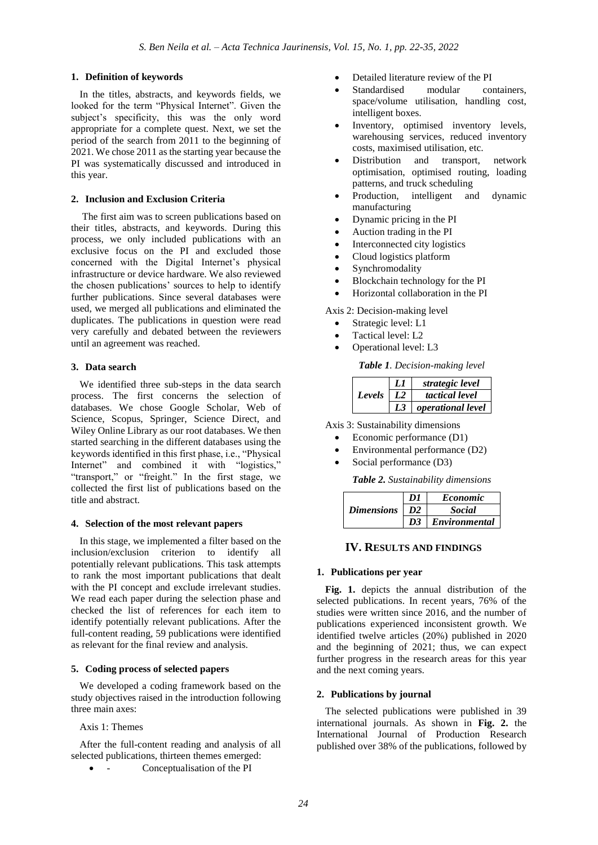## **1. Definition of keywords**

In the titles, abstracts, and keywords fields, we looked for the term "Physical Internet". Given the subject's specificity, this was the only word appropriate for a complete quest. Next, we set the period of the search from 2011 to the beginning of 2021. We chose 2011 as the starting year because the PI was systematically discussed and introduced in this year.

#### **2. Inclusion and Exclusion Criteria**

The first aim was to screen publications based on their titles, abstracts, and keywords. During this process, we only included publications with an exclusive focus on the PI and excluded those concerned with the Digital Internet's physical infrastructure or device hardware. We also reviewed the chosen publications' sources to help to identify further publications. Since several databases were used, we merged all publications and eliminated the duplicates. The publications in question were read very carefully and debated between the reviewers until an agreement was reached.

## **3. Data search**

We identified three sub-steps in the data search process. The first concerns the selection of databases. We chose Google Scholar, Web of Science, Scopus, Springer, Science Direct, and Wiley Online Library as our root databases. We then started searching in the different databases using the keywords identified in this first phase, i.e., "Physical Internet" and combined it with "logistics," "transport," or "freight." In the first stage, we collected the first list of publications based on the title and abstract.

#### **4. Selection of the most relevant papers**

In this stage, we implemented a filter based on the inclusion/exclusion criterion to identify all potentially relevant publications. This task attempts to rank the most important publications that dealt with the PI concept and exclude irrelevant studies. We read each paper during the selection phase and checked the list of references for each item to identify potentially relevant publications. After the full-content reading, 59 publications were identified as relevant for the final review and analysis.

## **5. Coding process of selected papers**

We developed a coding framework based on the study objectives raised in the introduction following three main axes:

Axis 1: Themes

After the full-content reading and analysis of all selected publications, thirteen themes emerged:

- Conceptualisation of the PI

- Detailed literature review of the PI
- Standardised modular containers, space/volume utilisation, handling cost, intelligent boxes.
- Inventory, optimised inventory levels, warehousing services, reduced inventory costs, maximised utilisation, etc.
- Distribution and transport, network optimisation, optimised routing, loading patterns, and truck scheduling
- Production, intelligent and dynamic manufacturing
- Dynamic pricing in the PI
- Auction trading in the PI
- Interconnected city logistics
- Cloud logistics platform
- Synchromodality
- Blockchain technology for the PI
- Horizontal collaboration in the PI

Axis 2: Decision-making level

- Strategic level: L1
- Tactical level: L2
- Operational level: L3

*Table 1. Decision-making level*

| Levels |    | strategic level          |  |
|--------|----|--------------------------|--|
|        | L2 | tactical level           |  |
|        |    | <i>operational level</i> |  |

Axis 3: Sustainability dimensions

- Economic performance (D1)
- Environmental performance (D2)
- Social performance (D3)

*Table 2. Sustainability dimensions*

|                   | $\overline{D}$  | <i>Economic</i>    |  |
|-------------------|-----------------|--------------------|--|
| <i>Dimensions</i> | $\overline{D2}$ | <b>Social</b>      |  |
|                   |                 | D3   Environmental |  |

## **IV. RESULTS AND FINDINGS**

#### **1. Publications per year**

**Fig. 1.** depicts the annual distribution of the selected publications. In recent years, 76% of the studies were written since 2016, and the number of publications experienced inconsistent growth. We identified twelve articles (20%) published in 2020 and the beginning of 2021; thus, we can expect further progress in the research areas for this year and the next coming years.

## **2. Publications by journal**

The selected publications were published in 39 international journals. As shown in **Fig. 2.** the International Journal of Production Research published over 38% of the publications, followed by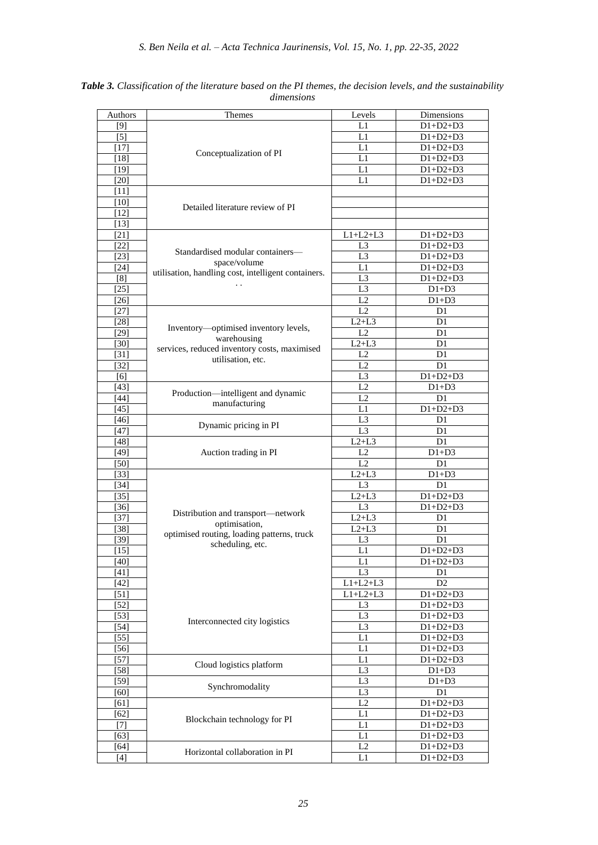| Authors            | Themes                                              | Levels          | Dimensions     |
|--------------------|-----------------------------------------------------|-----------------|----------------|
| [9]                |                                                     | L1              | $D1+D2+D3$     |
| $[5]$              |                                                     | L1              | $D1+D2+D3$     |
| $[17]$             |                                                     | L1              | $D1+D2+D3$     |
| [18]               | Conceptualization of PI                             | L1              | $D1+D2+D3$     |
| [19]               |                                                     | L1              | $D1+D2+D3$     |
|                    |                                                     |                 |                |
| [20]               |                                                     | L1              | $D1+D2+D3$     |
| $[11]$             |                                                     |                 |                |
| [10]               | Detailed literature review of PI                    |                 |                |
| $[12]$             |                                                     |                 |                |
| $[13]$             |                                                     |                 |                |
| $[21]$             |                                                     | $L1+L2+L3$      | $D1+D2+D3$     |
| $[22]$             |                                                     | L3              | $D1+D2+D3$     |
| [23]               | Standardised modular containers—                    | L <sub>3</sub>  | $D1+D2+D3$     |
| $[24]$             | space/volume                                        | L1              | $D1+D2+D3$     |
| [8]                | utilisation, handling cost, intelligent containers. | L <sub>3</sub>  | $D1+D2+D3$     |
| [25]               | $\ddot{\phantom{0}}$                                | L3              | $D1+D3$        |
| $[26]$             |                                                     | L2              | $D1+D3$        |
| [27]               |                                                     | L2              | D1             |
|                    |                                                     |                 |                |
| $[28]$             | Inventory-optimised inventory levels,               | $L2+L3$         | D1             |
| [29]               | warehousing                                         | L2              | D <sub>1</sub> |
| [30]               | services, reduced inventory costs, maximised        | $L2+L3$         | D1             |
| $[31]$             | utilisation, etc.                                   | L2              | D1             |
| $[32]$             |                                                     | $\overline{L2}$ | D <sub>1</sub> |
| [6]                |                                                     | L <sub>3</sub>  | $D1+D2+D3$     |
| $[43]$             |                                                     | L2              | $D1+D3$        |
| $[44]$             | Production-intelligent and dynamic<br>manufacturing | L <sub>2</sub>  | D1             |
| $[45]$             |                                                     | L1              | $D1+D2+D3$     |
| $[46]$             |                                                     | L <sub>3</sub>  | D <sub>1</sub> |
| [47]               | Dynamic pricing in PI                               | L3              | D1             |
| [48]               |                                                     | $L2+L3$         | D <sub>1</sub> |
| [49]               | Auction trading in PI                               | L2              | $D1+D3$        |
| [50]               |                                                     | L2              | D <sub>1</sub> |
| $[33]$             |                                                     | $L2+L3$         | $D1+D3$        |
| $[34]$             |                                                     | L <sub>3</sub>  | D <sub>1</sub> |
| $[35]$             |                                                     | $L2+L3$         | $D1+D2+D3$     |
|                    |                                                     | L3              | $D1+D2+D3$     |
| $[36]$             | Distribution and transport-network                  |                 |                |
| $[37]$             | optimisation,                                       | $L2+L3$         | D1             |
| $[38]$             | optimised routing, loading patterns, truck          | $L2+L3$         | D <sub>1</sub> |
| $[39]$             | scheduling, etc.                                    | L3              | D1             |
| $[15]$             |                                                     | L1              | $D1+D2+D3$     |
| $[40]$             |                                                     | L1              | $D1+D2+D3$     |
| $[41]$             |                                                     | L3              | D1             |
| [42]               |                                                     | $L1+L2+L3$      | D2             |
| $\lceil 51 \rceil$ |                                                     | $L1+L2+L3$      | $D1+D2+D3$     |
| 52                 |                                                     | L <sub>3</sub>  | $D1+D2+D3$     |
| $[53]$             |                                                     | L <sub>3</sub>  | $D1+D2+D3$     |
| $[54]$             | Interconnected city logistics                       | L <sub>3</sub>  | $D1+D2+D3$     |
| $[55]$             |                                                     | L1              | $D1+D2+D3$     |
| [56]               |                                                     | L1              | $D1+D2+D3$     |
| [57]               |                                                     | L1              | $D1+D2+D3$     |
| $[58]$             | Cloud logistics platform                            | L <sub>3</sub>  | $D1+D3$        |
|                    |                                                     | L <sub>3</sub>  |                |
| $[59]$             | Synchromodality                                     |                 | $D1+D3$        |
| [60]               |                                                     | L <sub>3</sub>  | D1             |
| $[61]$             |                                                     | L2              | $D1+D2+D3$     |
| [62]               | Blockchain technology for PI                        | L1              | $D1+D2+D3$     |
| [7]                |                                                     | L1              | $D1+D2+D3$     |
| [63]               |                                                     | L1              | $D1+D2+D3$     |
| $[64]$             | Horizontal collaboration in PI                      | L2              | $D1+D2+D3$     |
| [4]                |                                                     | L1              | $D1+D2+D3$     |

*Table 3. Classification of the literature based on the PI themes, the decision levels, and the sustainability dimensions*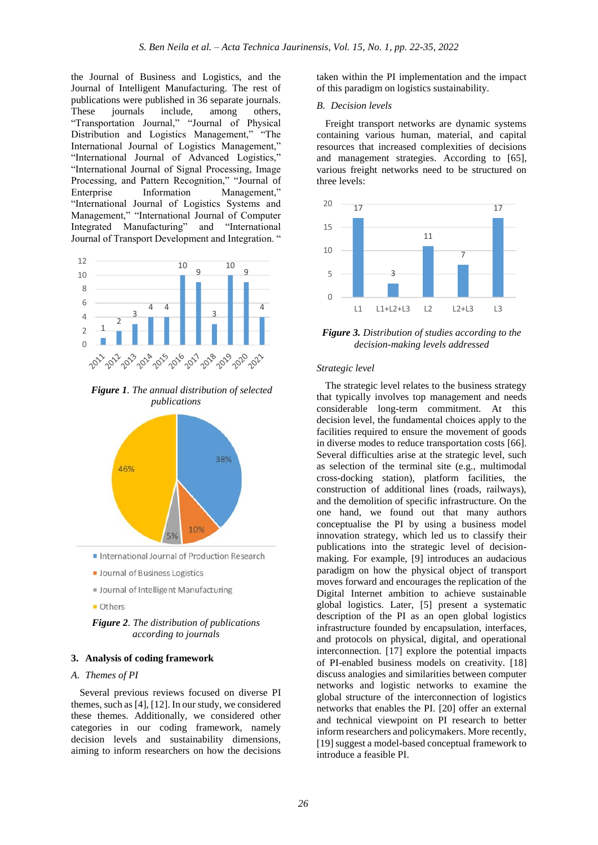the Journal of Business and Logistics, and the Journal of Intelligent Manufacturing. The rest of publications were published in 36 separate journals. These journals include, among others, "Transportation Journal," "Journal of Physical Distribution and Logistics Management," "The International Journal of Logistics Management," "International Journal of Advanced Logistics," "International Journal of Signal Processing, Image Processing, and Pattern Recognition," "Journal of Enterprise Information Management," "International Journal of Logistics Systems and Management," "International Journal of Computer Integrated Manufacturing" and "International Journal of Transport Development and Integration. "



*Figure 1. The annual distribution of selected publications* 



- International Journal of Production Research
- **Journal of Business Logistics**
- **II** Journal of Intelligent Manufacturing
- **Others**

*Figure 2. The distribution of publications according to journals*

#### **3. Analysis of coding framework**

#### *A. Themes of PI*

Several previous reviews focused on diverse PI themes, such as [4], [12]. In our study, we considered these themes. Additionally, we considered other categories in our coding framework, namely decision levels and sustainability dimensions, aiming to inform researchers on how the decisions

taken within the PI implementation and the impact of this paradigm on logistics sustainability.

#### *B. Decision levels*

Freight transport networks are dynamic systems containing various human, material, and capital resources that increased complexities of decisions and management strategies. According to [65], various freight networks need to be structured on three levels:



*Figure 3. Distribution of studies according to the decision-making levels addressed*

#### *Strategic level*

The strategic level relates to the business strategy that typically involves top management and needs considerable long-term commitment. At this decision level, the fundamental choices apply to the facilities required to ensure the movement of goods in diverse modes to reduce transportation costs [66]. Several difficulties arise at the strategic level, such as selection of the terminal site (e.g., multimodal cross-docking station), platform facilities, the construction of additional lines (roads, railways), and the demolition of specific infrastructure. On the one hand, we found out that many authors conceptualise the PI by using a business model innovation strategy, which led us to classify their publications into the strategic level of decisionmaking. For example, [9] introduces an audacious paradigm on how the physical object of transport moves forward and encourages the replication of the Digital Internet ambition to achieve sustainable global logistics. Later, [5] present a systematic description of the PI as an open global logistics infrastructure founded by encapsulation, interfaces, and protocols on physical, digital, and operational interconnection. [17] explore the potential impacts of PI-enabled business models on creativity. [18] discuss analogies and similarities between computer networks and logistic networks to examine the global structure of the interconnection of logistics networks that enables the PI. [20] offer an external and technical viewpoint on PI research to better inform researchers and policymakers. More recently, [19] suggest a model-based conceptual framework to introduce a feasible PI.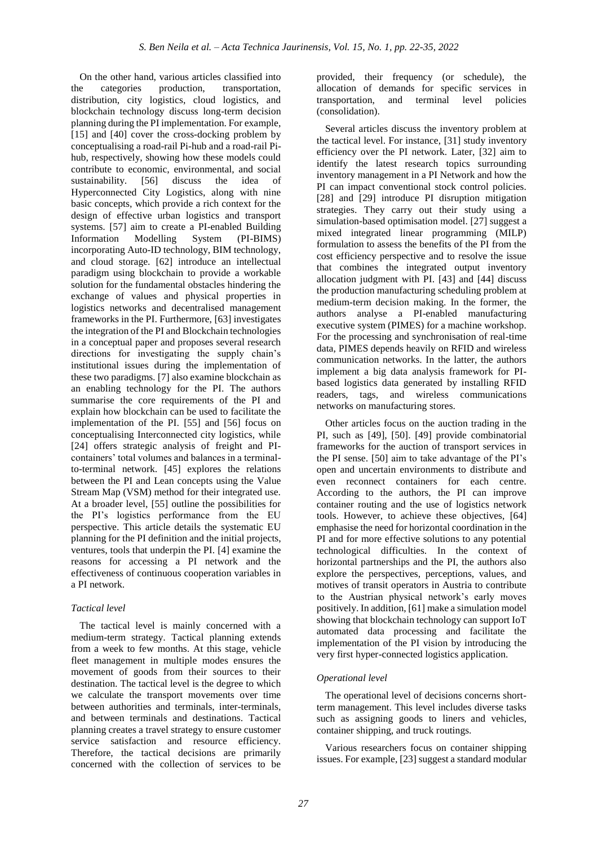On the other hand, various articles classified into the categories production, transportation, distribution, city logistics, cloud logistics, and blockchain technology discuss long-term decision planning during the PI implementation. For example, [15] and [40] cover the cross-docking problem by conceptualising a road-rail Pi-hub and a road-rail Pihub, respectively, showing how these models could contribute to economic, environmental, and social sustainability. [56] discuss the idea of Hyperconnected City Logistics, along with nine basic concepts, which provide a rich context for the design of effective urban logistics and transport systems. [57] aim to create a PI-enabled Building Information Modelling System (PI-BIMS) incorporating Auto-ID technology, BIM technology, and cloud storage. [62] introduce an intellectual paradigm using blockchain to provide a workable solution for the fundamental obstacles hindering the exchange of values and physical properties in logistics networks and decentralised management frameworks in the PI. Furthermore, [63] investigates the integration of the PI and Blockchain technologies in a conceptual paper and proposes several research directions for investigating the supply chain's institutional issues during the implementation of these two paradigms. [7] also examine blockchain as an enabling technology for the PI. The authors summarise the core requirements of the PI and explain how blockchain can be used to facilitate the implementation of the PI. [55] and [56] focus on conceptualising Interconnected city logistics, while [24] offers strategic analysis of freight and PIcontainers' total volumes and balances in a terminalto-terminal network. [45] explores the relations between the PI and Lean concepts using the Value Stream Map (VSM) method for their integrated use. At a broader level, [55] outline the possibilities for the PI's logistics performance from the EU perspective. This article details the systematic EU planning for the PI definition and the initial projects, ventures, tools that underpin the PI. [4] examine the reasons for accessing a PI network and the effectiveness of continuous cooperation variables in a PI network.

## *Tactical level*

The tactical level is mainly concerned with a medium-term strategy. Tactical planning extends from a week to few months. At this stage, vehicle fleet management in multiple modes ensures the movement of goods from their sources to their destination. The tactical level is the degree to which we calculate the transport movements over time between authorities and terminals, inter-terminals, and between terminals and destinations. Tactical planning creates a travel strategy to ensure customer service satisfaction and resource efficiency. Therefore, the tactical decisions are primarily concerned with the collection of services to be provided, their frequency (or schedule), the allocation of demands for specific services in transportation, and terminal level policies (consolidation).

Several articles discuss the inventory problem at the tactical level. For instance, [31] study inventory efficiency over the PI network. Later, [32] aim to identify the latest research topics surrounding inventory management in a PI Network and how the PI can impact conventional stock control policies. [28] and [29] introduce PI disruption mitigation strategies. They carry out their study using a simulation-based optimisation model. [27] suggest a mixed integrated linear programming (MILP) formulation to assess the benefits of the PI from the cost efficiency perspective and to resolve the issue that combines the integrated output inventory allocation judgment with PI. [43] and [44] discuss the production manufacturing scheduling problem at medium-term decision making. In the former, the authors analyse a PI-enabled manufacturing executive system (PIMES) for a machine workshop. For the processing and synchronisation of real-time data, PIMES depends heavily on RFID and wireless communication networks. In the latter, the authors implement a big data analysis framework for PIbased logistics data generated by installing RFID readers, tags, and wireless communications networks on manufacturing stores.

Other articles focus on the auction trading in the PI, such as [49], [50]. [49] provide combinatorial frameworks for the auction of transport services in the PI sense. [50] aim to take advantage of the PI's open and uncertain environments to distribute and even reconnect containers for each centre. According to the authors, the PI can improve container routing and the use of logistics network tools. However, to achieve these objectives, [64] emphasise the need for horizontal coordination in the PI and for more effective solutions to any potential technological difficulties. In the context of horizontal partnerships and the PI, the authors also explore the perspectives, perceptions, values, and motives of transit operators in Austria to contribute to the Austrian physical network's early moves positively. In addition, [61] make a simulation model showing that blockchain technology can support IoT automated data processing and facilitate the implementation of the PI vision by introducing the very first hyper-connected logistics application.

# *Operational level*

The operational level of decisions concerns shortterm management. This level includes diverse tasks such as assigning goods to liners and vehicles, container shipping, and truck routings.

Various researchers focus on container shipping issues. For example, [23] suggest a standard modular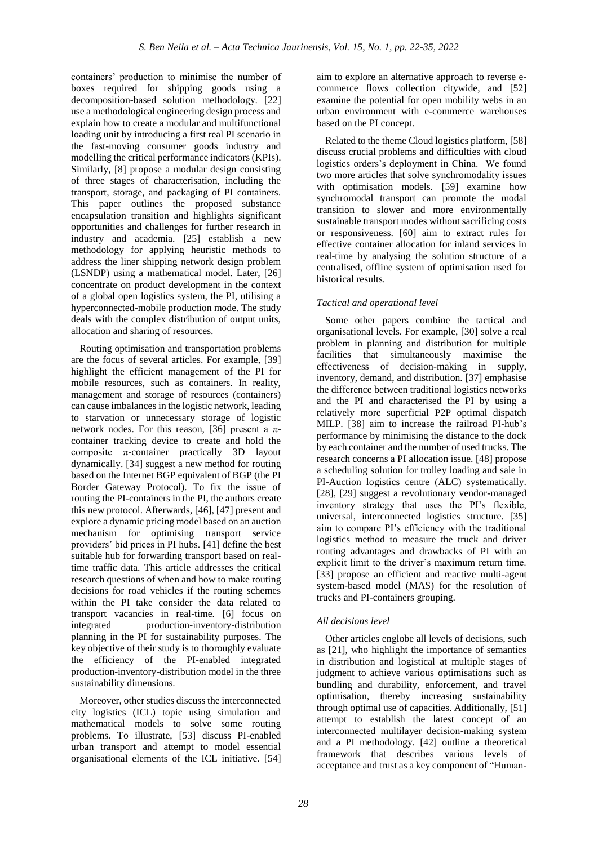containers' production to minimise the number of boxes required for shipping goods using a decomposition-based solution methodology. [22] use a methodological engineering design process and explain how to create a modular and multifunctional loading unit by introducing a first real PI scenario in the fast-moving consumer goods industry and modelling the critical performance indicators (KPIs). Similarly, [8] propose a modular design consisting of three stages of characterisation, including the transport, storage, and packaging of PI containers. This paper outlines the proposed substance encapsulation transition and highlights significant opportunities and challenges for further research in industry and academia. [25] establish a new methodology for applying heuristic methods to address the liner shipping network design problem (LSNDP) using a mathematical model. Later, [26] concentrate on product development in the context of a global open logistics system, the PI, utilising a hyperconnected-mobile production mode. The study deals with the complex distribution of output units, allocation and sharing of resources.

Routing optimisation and transportation problems are the focus of several articles. For example, [39] highlight the efficient management of the PI for mobile resources, such as containers. In reality, management and storage of resources (containers) can cause imbalances in the logistic network, leading to starvation or unnecessary storage of logistic network nodes. For this reason, [36] present a πcontainer tracking device to create and hold the composite  $\pi$ -container practically 3D layout dynamically. [34] suggest a new method for routing based on the Internet BGP equivalent of BGP (the PI Border Gateway Protocol). To fix the issue of routing the PI-containers in the PI, the authors create this new protocol. Afterwards, [46], [47] present and explore a dynamic pricing model based on an auction mechanism for optimising transport service providers' bid prices in PI hubs. [41] define the best suitable hub for forwarding transport based on realtime traffic data. This article addresses the critical research questions of when and how to make routing decisions for road vehicles if the routing schemes within the PI take consider the data related to transport vacancies in real-time. [6] focus on integrated production-inventory-distribution planning in the PI for sustainability purposes. The key objective of their study is to thoroughly evaluate the efficiency of the PI-enabled integrated production-inventory-distribution model in the three sustainability dimensions.

Moreover, other studies discuss the interconnected city logistics (ICL) topic using simulation and mathematical models to solve some routing problems. To illustrate, [53] discuss PI-enabled urban transport and attempt to model essential organisational elements of the ICL initiative. [54]

aim to explore an alternative approach to reverse ecommerce flows collection citywide, and [52] examine the potential for open mobility webs in an urban environment with e-commerce warehouses based on the PI concept.

Related to the theme Cloud logistics platform, [58] discuss crucial problems and difficulties with cloud logistics orders's deployment in China. We found two more articles that solve synchromodality issues with optimisation models. [59] examine how synchromodal transport can promote the modal transition to slower and more environmentally sustainable transport modes without sacrificing costs or responsiveness. [60] aim to extract rules for effective container allocation for inland services in real-time by analysing the solution structure of a centralised, offline system of optimisation used for historical results.

# *Tactical and operational level*

Some other papers combine the tactical and organisational levels. For example, [30] solve a real problem in planning and distribution for multiple facilities that simultaneously maximise the effectiveness of decision-making in supply, inventory, demand, and distribution. [37] emphasise the difference between traditional logistics networks and the PI and characterised the PI by using a relatively more superficial P2P optimal dispatch MILP. [38] aim to increase the railroad PI-hub's performance by minimising the distance to the dock by each container and the number of used trucks. The research concerns a PI allocation issue. [48] propose a scheduling solution for trolley loading and sale in PI-Auction logistics centre (ALC) systematically. [28], [29] suggest a revolutionary vendor-managed inventory strategy that uses the PI's flexible, universal, interconnected logistics structure. [35] aim to compare PI's efficiency with the traditional logistics method to measure the truck and driver routing advantages and drawbacks of PI with an explicit limit to the driver's maximum return time. [33] propose an efficient and reactive multi-agent system-based model (MAS) for the resolution of trucks and PI-containers grouping.

# *All decisions level*

Other articles englobe all levels of decisions, such as [21], who highlight the importance of semantics in distribution and logistical at multiple stages of judgment to achieve various optimisations such as bundling and durability, enforcement, and travel optimisation, thereby increasing sustainability through optimal use of capacities. Additionally, [51] attempt to establish the latest concept of an interconnected multilayer decision-making system and a PI methodology. [42] outline a theoretical framework that describes various levels of acceptance and trust as a key component of "Human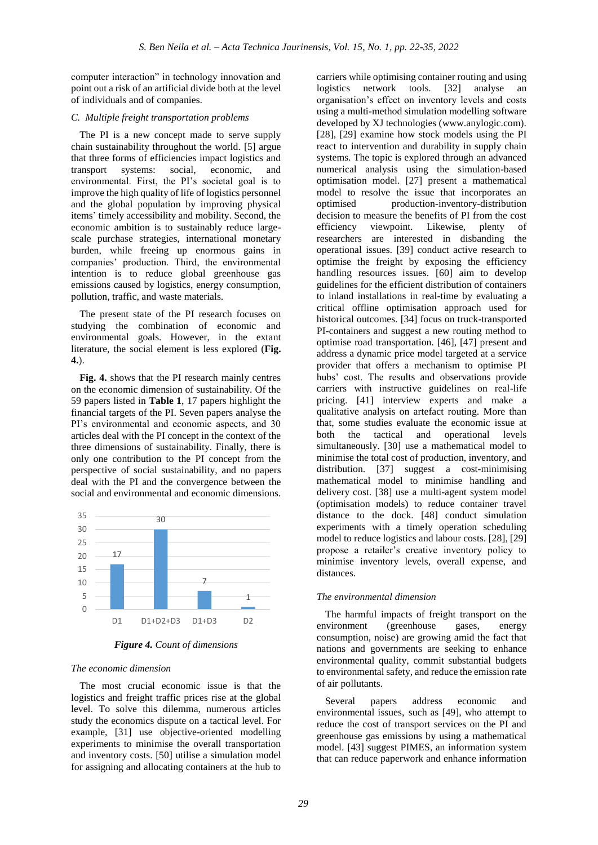computer interaction" in technology innovation and point out a risk of an artificial divide both at the level of individuals and of companies.

## *C. Multiple freight transportation problems*

The PI is a new concept made to serve supply chain sustainability throughout the world. [5] argue that three forms of efficiencies impact logistics and transport systems: social, economic, and environmental. First, the PI's societal goal is to improve the high quality of life of logistics personnel and the global population by improving physical items' timely accessibility and mobility. Second, the economic ambition is to sustainably reduce largescale purchase strategies, international monetary burden, while freeing up enormous gains in companies' production. Third, the environmental intention is to reduce global greenhouse gas emissions caused by logistics, energy consumption, pollution, traffic, and waste materials.

The present state of the PI research focuses on studying the combination of economic and environmental goals. However, in the extant literature, the social element is less explored (**Fig. 4.**).

**Fig. 4.** shows that the PI research mainly centres on the economic dimension of sustainability. Of the 59 papers listed in **Table 1**, 17 papers highlight the financial targets of the PI. Seven papers analyse the PI's environmental and economic aspects, and 30 articles deal with the PI concept in the context of the three dimensions of sustainability. Finally, there is only one contribution to the PI concept from the perspective of social sustainability, and no papers deal with the PI and the convergence between the social and environmental and economic dimensions.



*Figure 4. Count of dimensions*

## *The economic dimension*

The most crucial economic issue is that the logistics and freight traffic prices rise at the global level. To solve this dilemma, numerous articles study the economics dispute on a tactical level. For example, [31] use objective-oriented modelling experiments to minimise the overall transportation and inventory costs. [50] utilise a simulation model for assigning and allocating containers at the hub to

carriers while optimising container routing and using logistics network tools. [32] analyse an organisation's effect on inventory levels and costs using a multi-method simulation modelling software developed by XJ technologies (www.anylogic.com). [28], [29] examine how stock models using the PI react to intervention and durability in supply chain systems. The topic is explored through an advanced numerical analysis using the simulation-based optimisation model. [27] present a mathematical model to resolve the issue that incorporates an optimised production-inventory-distribution decision to measure the benefits of PI from the cost<br>efficiency viewpoint. Likewise, plenty of efficiency viewpoint. Likewise, plenty of researchers are interested in disbanding the operational issues. [39] conduct active research to optimise the freight by exposing the efficiency handling resources issues. [60] aim to develop guidelines for the efficient distribution of containers to inland installations in real-time by evaluating a critical offline optimisation approach used for historical outcomes. [34] focus on truck-transported PI-containers and suggest a new routing method to optimise road transportation. [46], [47] present and address a dynamic price model targeted at a service provider that offers a mechanism to optimise PI hubs' cost. The results and observations provide carriers with instructive guidelines on real-life pricing. [41] interview experts and make a qualitative analysis on artefact routing. More than that, some studies evaluate the economic issue at both the tactical and operational levels simultaneously. [30] use a mathematical model to minimise the total cost of production, inventory, and distribution. [37] suggest a cost-minimising mathematical model to minimise handling and delivery cost. [38] use a multi-agent system model (optimisation models) to reduce container travel distance to the dock. [48] conduct simulation experiments with a timely operation scheduling model to reduce logistics and labour costs. [28], [29] propose a retailer's creative inventory policy to minimise inventory levels, overall expense, and distances.

## *The environmental dimension*

The harmful impacts of freight transport on the<br>wironment (greenhouse gases, energy environment (greenhouse gases, energy consumption, noise) are growing amid the fact that nations and governments are seeking to enhance environmental quality, commit substantial budgets to environmental safety, and reduce the emission rate of air pollutants.

Several papers address economic and environmental issues, such as [49], who attempt to reduce the cost of transport services on the PI and greenhouse gas emissions by using a mathematical model. [43] suggest PIMES, an information system that can reduce paperwork and enhance information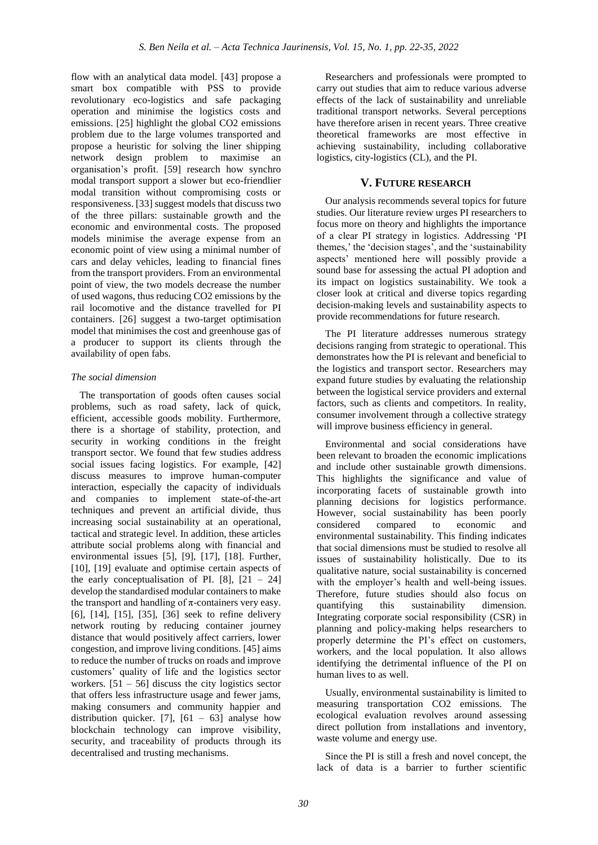flow with an analytical data model. [43] propose a smart box compatible with PSS to provide revolutionary eco-logistics and safe packaging operation and minimise the logistics costs and emissions. [25] highlight the global CO2 emissions problem due to the large volumes transported and propose a heuristic for solving the liner shipping network design problem to maximise an organisation's profit. [59] research how synchro modal transport support a slower but eco-friendlier modal transition without compromising costs or responsiveness. [33] suggest models that discuss two of the three pillars: sustainable growth and the economic and environmental costs. The proposed models minimise the average expense from an economic point of view using a minimal number of cars and delay vehicles, leading to financial fines from the transport providers. From an environmental point of view, the two models decrease the number of used wagons, thus reducing CO2 emissions by the rail locomotive and the distance travelled for PI containers. [26] suggest a two-target optimisation model that minimises the cost and greenhouse gas of a producer to support its clients through the availability of open fabs.

## *The social dimension*

The transportation of goods often causes social problems, such as road safety, lack of quick, efficient, accessible goods mobility. Furthermore, there is a shortage of stability, protection, and security in working conditions in the freight transport sector. We found that few studies address social issues facing logistics. For example, [42] discuss measures to improve human-computer interaction, especially the capacity of individuals and companies to implement state-of-the-art techniques and prevent an artificial divide, thus increasing social sustainability at an operational, tactical and strategic level. In addition, these articles attribute social problems along with financial and environmental issues [5], [9], [17], [18]. Further, [10], [19] evaluate and optimise certain aspects of the early conceptualisation of PI.  $[8]$ ,  $[21 - 24]$ develop the standardised modular containers to make the transport and handling of  $\pi$ -containers very easy. [6], [14], [15], [35], [36] seek to refine delivery network routing by reducing container journey distance that would positively affect carriers, lower congestion, and improve living conditions. [45] aims to reduce the number of trucks on roads and improve customers' quality of life and the logistics sector workers.  $[51 - 56]$  discuss the city logistics sector that offers less infrastructure usage and fewer jams, making consumers and community happier and distribution quicker. [7],  $[61 - 63]$  analyse how blockchain technology can improve visibility, security, and traceability of products through its decentralised and trusting mechanisms.

Researchers and professionals were prompted to carry out studies that aim to reduce various adverse effects of the lack of sustainability and unreliable traditional transport networks. Several perceptions have therefore arisen in recent years. Three creative theoretical frameworks are most effective in achieving sustainability, including collaborative logistics, city-logistics (CL), and the PI.

## **V. FUTURE RESEARCH**

Our analysis recommends several topics for future studies. Our literature review urges PI researchers to focus more on theory and highlights the importance of a clear PI strategy in logistics. Addressing 'PI themes,' the 'decision stages', and the 'sustainability aspects' mentioned here will possibly provide a sound base for assessing the actual PI adoption and its impact on logistics sustainability. We took a closer look at critical and diverse topics regarding decision-making levels and sustainability aspects to provide recommendations for future research.

The PI literature addresses numerous strategy decisions ranging from strategic to operational. This demonstrates how the PI is relevant and beneficial to the logistics and transport sector. Researchers may expand future studies by evaluating the relationship between the logistical service providers and external factors, such as clients and competitors. In reality, consumer involvement through a collective strategy will improve business efficiency in general.

Environmental and social considerations have been relevant to broaden the economic implications and include other sustainable growth dimensions. This highlights the significance and value of incorporating facets of sustainable growth into planning decisions for logistics performance. However, social sustainability has been poorly considered compared to economic and environmental sustainability. This finding indicates that social dimensions must be studied to resolve all issues of sustainability holistically. Due to its qualitative nature, social sustainability is concerned with the employer's health and well-being issues. Therefore, future studies should also focus on quantifying this sustainability dimension. Integrating corporate social responsibility (CSR) in planning and policy-making helps researchers to properly determine the PI's effect on customers, workers, and the local population. It also allows identifying the detrimental influence of the PI on human lives to as well.

Usually, environmental sustainability is limited to measuring transportation CO2 emissions. The ecological evaluation revolves around assessing direct pollution from installations and inventory, waste volume and energy use.

Since the PI is still a fresh and novel concept, the lack of data is a barrier to further scientific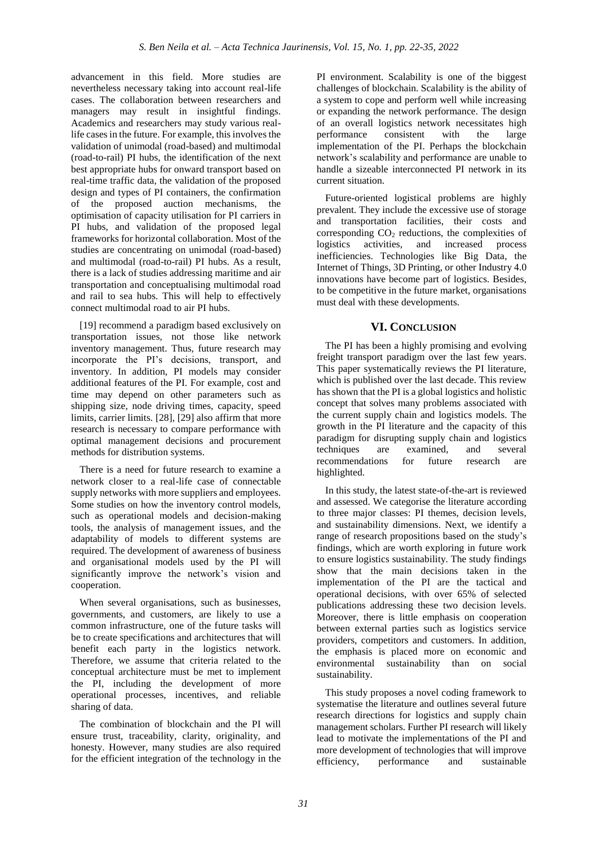advancement in this field. More studies are nevertheless necessary taking into account real-life cases. The collaboration between researchers and managers may result in insightful findings. Academics and researchers may study various reallife cases in the future. For example, this involves the validation of unimodal (road-based) and multimodal (road-to-rail) PI hubs, the identification of the next best appropriate hubs for onward transport based on real-time traffic data, the validation of the proposed design and types of PI containers, the confirmation of the proposed auction mechanisms, the optimisation of capacity utilisation for PI carriers in PI hubs, and validation of the proposed legal frameworks for horizontal collaboration. Most of the studies are concentrating on unimodal (road-based) and multimodal (road-to-rail) PI hubs. As a result, there is a lack of studies addressing maritime and air transportation and conceptualising multimodal road and rail to sea hubs. This will help to effectively connect multimodal road to air PI hubs.

[19] recommend a paradigm based exclusively on transportation issues, not those like network inventory management. Thus, future research may incorporate the PI's decisions, transport, and inventory. In addition, PI models may consider additional features of the PI. For example, cost and time may depend on other parameters such as shipping size, node driving times, capacity, speed limits, carrier limits. [28], [29] also affirm that more research is necessary to compare performance with optimal management decisions and procurement methods for distribution systems.

There is a need for future research to examine a network closer to a real-life case of connectable supply networks with more suppliers and employees. Some studies on how the inventory control models, such as operational models and decision-making tools, the analysis of management issues, and the adaptability of models to different systems are required. The development of awareness of business and organisational models used by the PI will significantly improve the network's vision and cooperation.

When several organisations, such as businesses, governments, and customers, are likely to use a common infrastructure, one of the future tasks will be to create specifications and architectures that will benefit each party in the logistics network. Therefore, we assume that criteria related to the conceptual architecture must be met to implement the PI, including the development of more operational processes, incentives, and reliable sharing of data.

The combination of blockchain and the PI will ensure trust, traceability, clarity, originality, and honesty. However, many studies are also required for the efficient integration of the technology in the

PI environment. Scalability is one of the biggest challenges of blockchain. Scalability is the ability of a system to cope and perform well while increasing or expanding the network performance. The design of an overall logistics network necessitates high performance consistent with the large implementation of the PI. Perhaps the blockchain network's scalability and performance are unable to handle a sizeable interconnected PI network in its current situation.

Future-oriented logistical problems are highly prevalent. They include the excessive use of storage and transportation facilities, their costs and corresponding  $CO<sub>2</sub>$  reductions, the complexities of logistics activities, and increased process inefficiencies. Technologies like Big Data, the Internet of Things, 3D Printing, or other Industry 4.0 innovations have become part of logistics. Besides, to be competitive in the future market, organisations must deal with these developments.

# **VI. CONCLUSION**

The PI has been a highly promising and evolving freight transport paradigm over the last few years. This paper systematically reviews the PI literature, which is published over the last decade. This review has shown that the PI is a global logistics and holistic concept that solves many problems associated with the current supply chain and logistics models. The growth in the PI literature and the capacity of this paradigm for disrupting supply chain and logistics techniques are examined, and several recommendations for future research are highlighted.

In this study, the latest state-of-the-art is reviewed and assessed. We categorise the literature according to three major classes: PI themes, decision levels, and sustainability dimensions. Next, we identify a range of research propositions based on the study's findings, which are worth exploring in future work to ensure logistics sustainability. The study findings show that the main decisions taken in the implementation of the PI are the tactical and operational decisions, with over 65% of selected publications addressing these two decision levels. Moreover, there is little emphasis on cooperation between external parties such as logistics service providers, competitors and customers. In addition, the emphasis is placed more on economic and environmental sustainability than on social sustainability.

This study proposes a novel coding framework to systematise the literature and outlines several future research directions for logistics and supply chain management scholars. Further PI research will likely lead to motivate the implementations of the PI and more development of technologies that will improve efficiency, performance and sustainable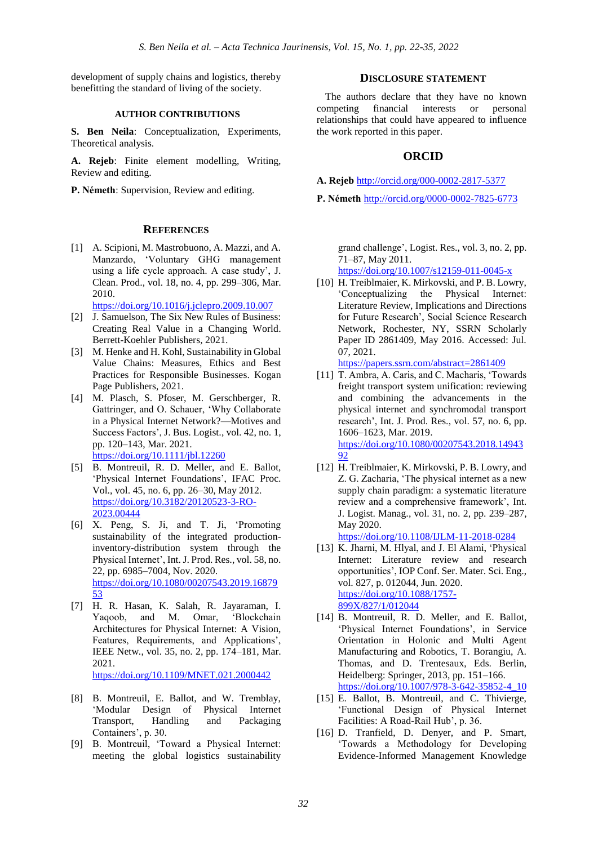development of supply chains and logistics, thereby benefitting the standard of living of the society.

#### **AUTHOR CONTRIBUTIONS**

**S. Ben Neila**: Conceptualization, Experiments, Theoretical analysis.

**A. Rejeb**: Finite element modelling, Writing, Review and editing.

**P. Németh**: Supervision, Review and editing.

### **REFERENCES**

[1] A. Scipioni, M. Mastrobuono, A. Mazzi, and A. Manzardo, 'Voluntary GHG management using a life cycle approach. A case study', J. Clean. Prod., vol. 18, no. 4, pp. 299–306, Mar. 2010.

<https://doi.org/10.1016/j.jclepro.2009.10.007>

- [2] J. Samuelson, The Six New Rules of Business: Creating Real Value in a Changing World. Berrett-Koehler Publishers, 2021.
- [3] M. Henke and H. Kohl, Sustainability in Global Value Chains: Measures, Ethics and Best Practices for Responsible Businesses. Kogan Page Publishers, 2021.
- [4] M. Plasch, S. Pfoser, M. Gerschberger, R. Gattringer, and O. Schauer, 'Why Collaborate in a Physical Internet Network?—Motives and Success Factors', J. Bus. Logist., vol. 42, no. 1, pp. 120–143, Mar. 2021. <https://doi.org/10.1111/jbl.12260>
- [5] B. Montreuil, R. D. Meller, and E. Ballot, 'Physical Internet Foundations', IFAC Proc. Vol., vol. 45, no. 6, pp. 26–30, May 2012. [https://doi.org/10.3182/20120523-3-RO-](https://doi.org/10.3182/20120523-3-RO-2023.00444)[2023.00444](https://doi.org/10.3182/20120523-3-RO-2023.00444)
- [6] X. Peng, S. Ji, and T. Ji, 'Promoting sustainability of the integrated productioninventory-distribution system through the Physical Internet', Int. J. Prod. Res., vol. 58, no. 22, pp. 6985–7004, Nov. 2020. [https://doi.org/10.1080/00207543.2019.16879](https://doi.org/10.1080/00207543.2019.1687953) [53](https://doi.org/10.1080/00207543.2019.1687953)
- [7] H. R. Hasan, K. Salah, R. Jayaraman, I. Yaqoob, and M. Omar, 'Blockchain Architectures for Physical Internet: A Vision, Features, Requirements, and Applications', IEEE Netw., vol. 35, no. 2, pp. 174–181, Mar. 2021. <https://doi.org/10.1109/MNET.021.2000442>
- [8] B. Montreuil, E. Ballot, and W. Tremblay, 'Modular Design of Physical Internet Transport, Handling and Packaging Containers', p. 30.
- [9] B. Montreuil, 'Toward a Physical Internet: meeting the global logistics sustainability

#### **DISCLOSURE STATEMENT**

The authors declare that they have no known<br>ompeting financial interests or personal competing financial interests or relationships that could have appeared to influence the work reported in this paper.

## **ORCID**

- **A. Rejeb** <http://orcid.org/000-0002-2817-5377>
- **P. Németh** <http://orcid.org/0000-0002-7825-6773>

grand challenge', Logist. Res., vol. 3, no. 2, pp. 71–87, May 2011.

<https://doi.org/10.1007/s12159-011-0045-x>

[10] H. Treiblmaier, K. Mirkovski, and P. B. Lowry, 'Conceptualizing the Physical Internet: Literature Review, Implications and Directions for Future Research', Social Science Research Network, Rochester, NY, SSRN Scholarly Paper ID 2861409, May 2016. Accessed: Jul. 07, 2021.

<https://papers.ssrn.com/abstract=2861409>

- [11] T. Ambra, A. Caris, and C. Macharis, 'Towards freight transport system unification: reviewing and combining the advancements in the physical internet and synchromodal transport research', Int. J. Prod. Res., vol. 57, no. 6, pp. 1606–1623, Mar. 2019. [https://doi.org/10.1080/00207543.2018.14943](https://doi.org/10.1080/00207543.2018.1494392) [92](https://doi.org/10.1080/00207543.2018.1494392)
- [12] H. Treiblmaier, K. Mirkovski, P. B. Lowry, and Z. G. Zacharia, 'The physical internet as a new supply chain paradigm: a systematic literature review and a comprehensive framework', Int. J. Logist. Manag., vol. 31, no. 2, pp. 239–287, May 2020.

<https://doi.org/10.1108/IJLM-11-2018-0284>

- [13] K. Jharni, M. Hlyal, and J. El Alami, 'Physical Internet: Literature review and research opportunities', IOP Conf. Ser. Mater. Sci. Eng., vol. 827, p. 012044, Jun. 2020. [https://doi.org/10.1088/1757-](https://doi.org/10.1088/1757-899X/827/1/012044) [899X/827/1/012044](https://doi.org/10.1088/1757-899X/827/1/012044)
- [14] B. Montreuil, R. D. Meller, and E. Ballot, 'Physical Internet Foundations', in Service Orientation in Holonic and Multi Agent Manufacturing and Robotics, T. Borangiu, A. Thomas, and D. Trentesaux, Eds. Berlin, Heidelberg: Springer, 2013, pp. 151–166. [https://doi.org/10.1007/978-3-642-35852-4\\_10](https://doi.org/10.1007/978-3-642-35852-4_10)
- [15] E. Ballot, B. Montreuil, and C. Thivierge, 'Functional Design of Physical Internet Facilities: A Road-Rail Hub', p. 36.
- [16] D. Tranfield, D. Denyer, and P. Smart, 'Towards a Methodology for Developing Evidence-Informed Management Knowledge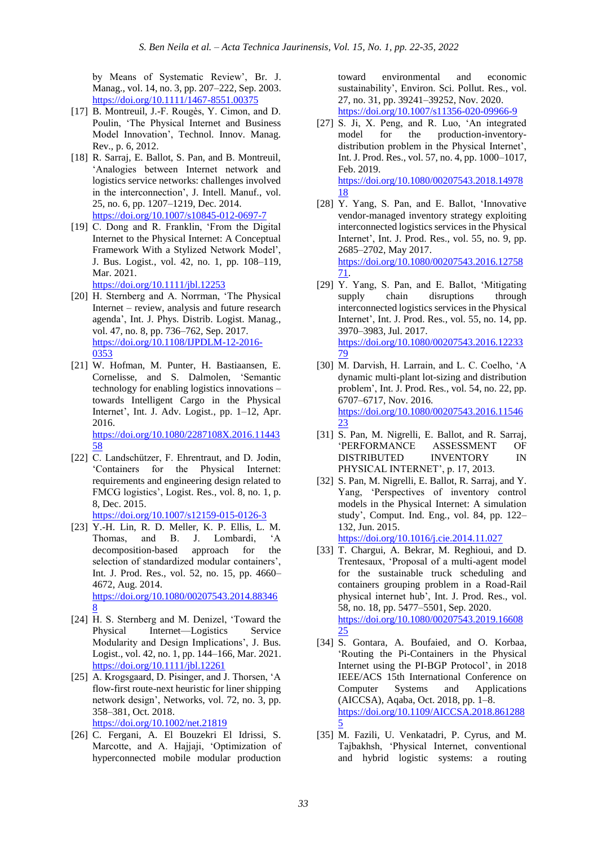by Means of Systematic Review', Br. J. Manag., vol. 14, no. 3, pp. 207–222, Sep. 2003. <https://doi.org/10.1111/1467-8551.00375>

- [17] B. Montreuil, J.-F. Rougès, Y. Cimon, and D. Poulin, 'The Physical Internet and Business Model Innovation', Technol. Innov. Manag. Rev., p. 6, 2012.
- [18] R. Sarraj, E. Ballot, S. Pan, and B. Montreuil, 'Analogies between Internet network and logistics service networks: challenges involved in the interconnection', J. Intell. Manuf., vol. 25, no. 6, pp. 1207–1219, Dec. 2014. <https://doi.org/10.1007/s10845-012-0697-7>
- [19] C. Dong and R. Franklin, 'From the Digital Internet to the Physical Internet: A Conceptual Framework With a Stylized Network Model', J. Bus. Logist., vol. 42, no. 1, pp. 108–119, Mar. 2021.

<https://doi.org/10.1111/jbl.12253>

- [20] H. Sternberg and A. Norrman, 'The Physical Internet – review, analysis and future research agenda', Int. J. Phys. Distrib. Logist. Manag., vol. 47, no. 8, pp. 736–762, Sep. 2017. [https://doi.org/10.1108/IJPDLM-12-2016-](https://doi.org/10.1108/IJPDLM-12-2016-0353) [0353](https://doi.org/10.1108/IJPDLM-12-2016-0353)
- [21] W. Hofman, M. Punter, H. Bastiaansen, E. Cornelisse, and S. Dalmolen, 'Semantic technology for enabling logistics innovations – towards Intelligent Cargo in the Physical Internet', Int. J. Adv. Logist., pp. 1–12, Apr. 2016. [https://doi.org/10.1080/2287108X.2016.11443](https://doi.org/10.1080/2287108X.2016.1144358) [58](https://doi.org/10.1080/2287108X.2016.1144358)
- [22] C. Landschützer, F. Ehrentraut, and D. Jodin, 'Containers for the Physical Internet: requirements and engineering design related to FMCG logistics', Logist. Res., vol. 8, no. 1, p. 8, Dec. 2015. <https://doi.org/10.1007/s12159-015-0126-3>
- [23] Y.-H. Lin, R. D. Meller, K. P. Ellis, L. M. Thomas, and B. J. Lombardi, 'A decomposition-based approach for the selection of standardized modular containers', Int. J. Prod. Res., vol. 52, no. 15, pp. 4660– 4672, Aug. 2014. [https://doi.org/10.1080/00207543.2014.88346](https://doi.org/10.1080/00207543.2014.883468) [8](https://doi.org/10.1080/00207543.2014.883468)
- [24] H. S. Sternberg and M. Denizel, 'Toward the Physical Internet—Logistics Service Modularity and Design Implications', J. Bus. Logist., vol. 42, no. 1, pp. 144–166, Mar. 2021. <https://doi.org/10.1111/jbl.12261>
- [25] A. Krogsgaard, D. Pisinger, and J. Thorsen, 'A flow-first route-next heuristic for liner shipping network design', Networks, vol. 72, no. 3, pp. 358–381, Oct. 2018.

<https://doi.org/10.1002/net.21819>

[26] C. Fergani, A. El Bouzekri El Idrissi, S. Marcotte, and A. Hajjaji, 'Optimization of hyperconnected mobile modular production

toward environmental and economic sustainability', Environ. Sci. Pollut. Res., vol. 27, no. 31, pp. 39241–39252, Nov. 2020. <https://doi.org/10.1007/s11356-020-09966-9>

- [27] S. Ji, X. Peng, and R. Luo, 'An integrated model for the production-inventorydistribution problem in the Physical Internet', Int. J. Prod. Res., vol. 57, no. 4, pp. 1000–1017, Feb. 2019. [https://doi.org/10.1080/00207543.2018.14978](https://doi.org/10.1080/00207543.2018.1497818) [18](https://doi.org/10.1080/00207543.2018.1497818)
- [28] Y. Yang, S. Pan, and E. Ballot, 'Innovative vendor-managed inventory strategy exploiting interconnected logistics services in the Physical Internet', Int. J. Prod. Res., vol. 55, no. 9, pp. 2685–2702, May 2017. [https://doi.org/10.1080/00207543.2016.12758](https://doi.org/10.1080/00207543.2016.1275871) [71.](https://doi.org/10.1080/00207543.2016.1275871)
- [29] Y. Yang, S. Pan, and E. Ballot, 'Mitigating supply chain disruptions through interconnected logistics services in the Physical Internet', Int. J. Prod. Res., vol. 55, no. 14, pp. 3970–3983, Jul. 2017. [https://doi.org/10.1080/00207543.2016.12233](https://doi.org/10.1080/00207543.2016.1223379) [79](https://doi.org/10.1080/00207543.2016.1223379)
- [30] M. Darvish, H. Larrain, and L. C. Coelho, 'A dynamic multi-plant lot-sizing and distribution problem', Int. J. Prod. Res., vol. 54, no. 22, pp. 6707–6717, Nov. 2016. [https://doi.org/10.1080/00207543.2016.11546](https://doi.org/10.1080/00207543.2016.1154623) [23](https://doi.org/10.1080/00207543.2016.1154623)
- [31] S. Pan, M. Nigrelli, E. Ballot, and R. Sarraj, 'PERFORMANCE ASSESSMENT OF DISTRIBUTED INVENTORY IN PHYSICAL INTERNET', p. 17, 2013.
- [32] S. Pan, M. Nigrelli, E. Ballot, R. Sarraj, and Y. Yang, 'Perspectives of inventory control models in the Physical Internet: A simulation study', Comput. Ind. Eng., vol. 84, pp. 122– 132, Jun. 2015.

<https://doi.org/10.1016/j.cie.2014.11.027>

- [33] T. Chargui, A. Bekrar, M. Reghioui, and D. Trentesaux, 'Proposal of a multi-agent model for the sustainable truck scheduling and containers grouping problem in a Road-Rail physical internet hub', Int. J. Prod. Res., vol. 58, no. 18, pp. 5477–5501, Sep. 2020. [https://doi.org/10.1080/00207543.2019.16608](https://doi.org/10.1080/00207543.2019.1660825) [25](https://doi.org/10.1080/00207543.2019.1660825)
- [34] S. Gontara, A. Boufaied, and O. Korbaa, 'Routing the Pi-Containers in the Physical Internet using the PI-BGP Protocol', in 2018 IEEE/ACS 15th International Conference on Computer Systems and Applications (AICCSA), Aqaba, Oct. 2018, pp. 1–8. [https://doi.org/10.1109/AICCSA.2018.861288](https://doi.org/10.1109/AICCSA.2018.8612885) [5](https://doi.org/10.1109/AICCSA.2018.8612885)
- [35] M. Fazili, U. Venkatadri, P. Cyrus, and M. Tajbakhsh, 'Physical Internet, conventional and hybrid logistic systems: a routing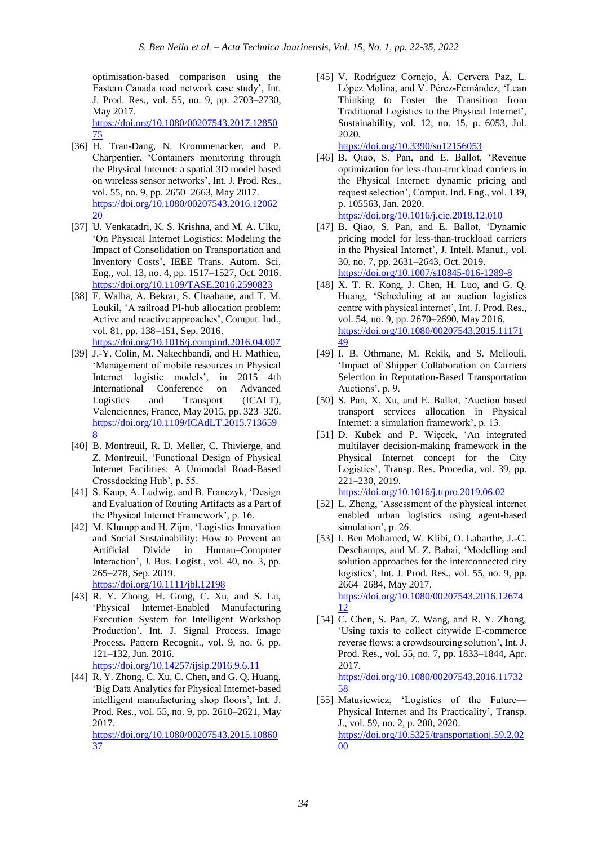optimisation-based comparison using the Eastern Canada road network case study', Int. J. Prod. Res., vol. 55, no. 9, pp. 2703–2730, May 2017.

[https://doi.org/10.1080/00207543.2017.12850](https://doi.org/10.1080/00207543.2017.1285075) [75](https://doi.org/10.1080/00207543.2017.1285075)

- [36] H. Tran-Dang, N. Krommenacker, and P. Charpentier, 'Containers monitoring through the Physical Internet: a spatial 3D model based on wireless sensor networks', Int. J. Prod. Res., vol. 55, no. 9, pp. 2650–2663, May 2017. [https://doi.org/10.1080/00207543.2016.12062](https://doi.org/10.1080/00207543.2016.1206220) [20](https://doi.org/10.1080/00207543.2016.1206220)
- [37] U. Venkatadri, K. S. Krishna, and M. A. Ulku, 'On Physical Internet Logistics: Modeling the Impact of Consolidation on Transportation and Inventory Costs', IEEE Trans. Autom. Sci. Eng., vol. 13, no. 4, pp. 1517–1527, Oct. 2016. <https://doi.org/10.1109/TASE.2016.2590823>
- [38] F. Walha, A. Bekrar, S. Chaabane, and T. M. Loukil, 'A railroad PI-hub allocation problem: Active and reactive approaches', Comput. Ind., vol. 81, pp. 138–151, Sep. 2016. <https://doi.org/10.1016/j.compind.2016.04.007>
- [39] J.-Y. Colin, M. Nakechbandi, and H. Mathieu, 'Management of mobile resources in Physical Internet logistic models', in 2015 4th International Conference on Advanced Logistics and Transport (ICALT), Valenciennes, France, May 2015, pp. 323–326. [https://doi.org/10.1109/ICAdLT.2015.713659](https://doi.org/10.1109/ICAdLT.2015.7136598) [8](https://doi.org/10.1109/ICAdLT.2015.7136598)
- [40] B. Montreuil, R. D. Meller, C. Thivierge, and Z. Montreuil, 'Functional Design of Physical Internet Facilities: A Unimodal Road-Based Crossdocking Hub', p. 55.
- [41] S. Kaup, A. Ludwig, and B. Franczyk, 'Design and Evaluation of Routing Artifacts as a Part of the Physical Internet Framework', p. 16.
- [42] M. Klumpp and H. Zijm, 'Logistics Innovation and Social Sustainability: How to Prevent an Artificial Divide in Human–Computer Interaction', J. Bus. Logist., vol. 40, no. 3, pp. 265–278, Sep. 2019.

<https://doi.org/10.1111/jbl.12198>

[43] R. Y. Zhong, H. Gong, C. Xu, and S. Lu, 'Physical Internet-Enabled Manufacturing Execution System for Intelligent Workshop Production', Int. J. Signal Process. Image Process. Pattern Recognit., vol. 9, no. 6, pp. 121–132, Jun. 2016.

<https://doi.org/10.14257/ijsip.2016.9.6.11>

[44] R. Y. Zhong, C. Xu, C. Chen, and G. Q. Huang, 'Big Data Analytics for Physical Internet-based intelligent manufacturing shop floors', Int. J. Prod. Res., vol. 55, no. 9, pp. 2610–2621, May 2017.

[https://doi.org/10.1080/00207543.2015.10860](https://doi.org/10.1080/00207543.2015.1086037) [37](https://doi.org/10.1080/00207543.2015.1086037)

[45] V. Rodríguez Cornejo, Á. Cervera Paz, L. López Molina, and V. Pérez-Fernández, 'Lean Thinking to Foster the Transition from Traditional Logistics to the Physical Internet', Sustainability, vol. 12, no. 15, p. 6053, Jul. 2020.

<https://doi.org/10.3390/su12156053>

[46] B. Qiao, S. Pan, and E. Ballot, 'Revenue optimization for less-than-truckload carriers in the Physical Internet: dynamic pricing and request selection', Comput. Ind. Eng., vol. 139, p. 105563, Jan. 2020. <https://doi.org/10.1016/j.cie.2018.12.010>

[47] B. Qiao, S. Pan, and E. Ballot, 'Dynamic pricing model for less-than-truckload carriers in the Physical Internet', J. Intell. Manuf., vol.

30, no. 7, pp. 2631–2643, Oct. 2019. <https://doi.org/10.1007/s10845-016-1289-8>

- [48] X. T. R. Kong, J. Chen, H. Luo, and G. Q. Huang, 'Scheduling at an auction logistics centre with physical internet', Int. J. Prod. Res., vol. 54, no. 9, pp. 2670–2690, May 2016. [https://doi.org/10.1080/00207543.2015.11171](https://doi.org/10.1080/00207543.2015.1117149) [49](https://doi.org/10.1080/00207543.2015.1117149)
- [49] I. B. Othmane, M. Rekik, and S. Mellouli, 'Impact of Shipper Collaboration on Carriers Selection in Reputation-Based Transportation Auctions', p. 9.
- [50] S. Pan, X. Xu, and E. Ballot, 'Auction based transport services allocation in Physical Internet: a simulation framework', p. 13.
- [51] D. Kubek and P. Więcek, 'An integrated multilayer decision-making framework in the Physical Internet concept for the City Logistics', Transp. Res. Procedia, vol. 39, pp. 221–230, 2019.

<https://doi.org/10.1016/j.trpro.2019.06.02> [52] L. Zheng, 'Assessment of the physical internet enabled urban logistics using agent-based

- simulation', p. 26. [53] I. Ben Mohamed, W. Klibi, O. Labarthe, J.-C. Deschamps, and M. Z. Babai, 'Modelling and solution approaches for the interconnected city logistics', Int. J. Prod. Res., vol. 55, no. 9, pp. 2664–2684, May 2017. [https://doi.org/10.1080/00207543.2016.12674](https://doi.org/10.1080/00207543.2016.1267412) [12](https://doi.org/10.1080/00207543.2016.1267412)
- [54] C. Chen, S. Pan, Z. Wang, and R. Y. Zhong, 'Using taxis to collect citywide E-commerce reverse flows: a crowdsourcing solution', Int. J. Prod. Res., vol. 55, no. 7, pp. 1833–1844, Apr. 2017. [https://doi.org/10.1080/00207543.2016.11732](https://doi.org/10.1080/00207543.2016.1173258) [58](https://doi.org/10.1080/00207543.2016.1173258)
- [55] Matusiewicz, 'Logistics of the Future— Physical Internet and Its Practicality', Transp. J., vol. 59, no. 2, p. 200, 2020. [https://doi.org/10.5325/transportationj.59.2.02](https://doi.org/10.5325/transportationj.59.2.0200) [00](https://doi.org/10.5325/transportationj.59.2.0200)